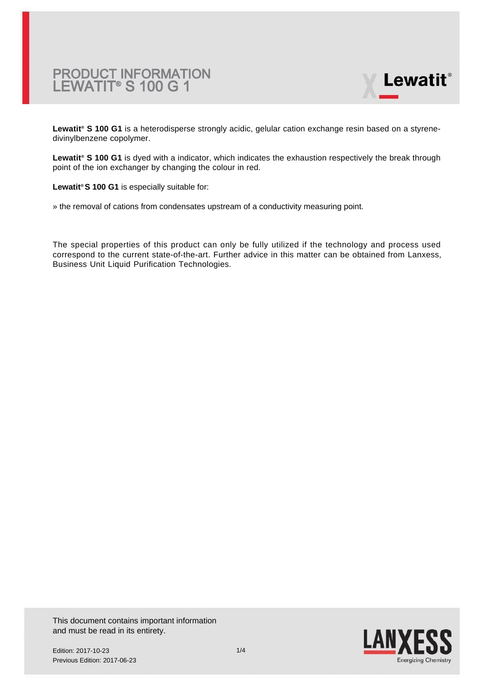



**Lewatit® S 100 G1** is a heterodisperse strongly acidic, gelular cation exchange resin based on a styrenedivinylbenzene copolymer.

**Lewatit® S 100 G1** is dyed with a indicator, which indicates the exhaustion respectively the break through point of the ion exchanger by changing the colour in red.

**Lewatit® S 100 G1** is especially suitable for:

» the removal of cations from condensates upstream of a conductivity measuring point.

The special properties of this product can only be fully utilized if the technology and process used correspond to the current state-of-the-art. Further advice in this matter can be obtained from Lanxess, Business Unit Liquid Purification Technologies.

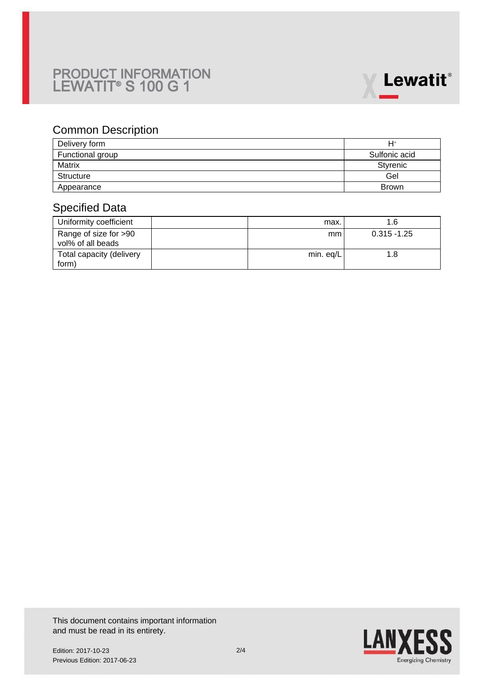# PRODUCT INFORMATION LEWATIT® S 100 G 1



### Common Description

| Delivery form    | $H^*$         |
|------------------|---------------|
| Functional group | Sulfonic acid |
| Matrix           | Styrenic      |
| Structure        | Gel           |
| Appearance       | <b>Brown</b>  |

### Specified Data

| Uniformity coefficient                     | max.      | 1.6            |
|--------------------------------------------|-----------|----------------|
| Range of size for >90<br>vol% of all beads | mm        | $0.315 - 1.25$ |
| Total capacity (delivery<br>form)          | min. eq/L | 1.8            |

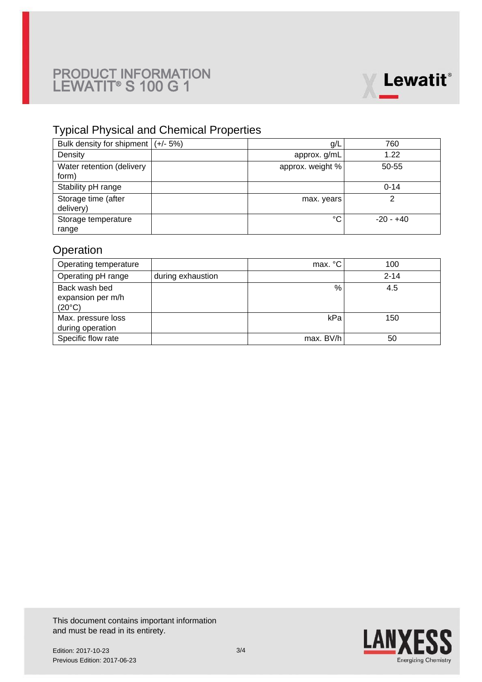# PRODUCT INFORMATION LEWATIT® S 100 G 1



## Typical Physical and Chemical Properties

| Bulk density for shipment $ (+/- 5%)$ | g/L              | 760         |
|---------------------------------------|------------------|-------------|
| Density                               | approx. g/mL     | 1.22        |
| Water retention (delivery<br>form)    | approx. weight % | 50-55       |
| Stability pH range                    |                  | $0 - 14$    |
| Storage time (after<br>delivery)      | max. years       | 2           |
| Storage temperature<br>range          | °C               | $-20 - +40$ |

## **Operation**

| Operating temperature                                 |                   | max. °C   | 100      |
|-------------------------------------------------------|-------------------|-----------|----------|
| Operating pH range                                    | during exhaustion |           | $2 - 14$ |
| Back wash bed<br>expansion per m/h<br>$(20^{\circ}C)$ |                   | $\%$      | 4.5      |
| Max. pressure loss<br>during operation                |                   | kPa       | 150      |
| Specific flow rate                                    |                   | max. BV/h | 50       |